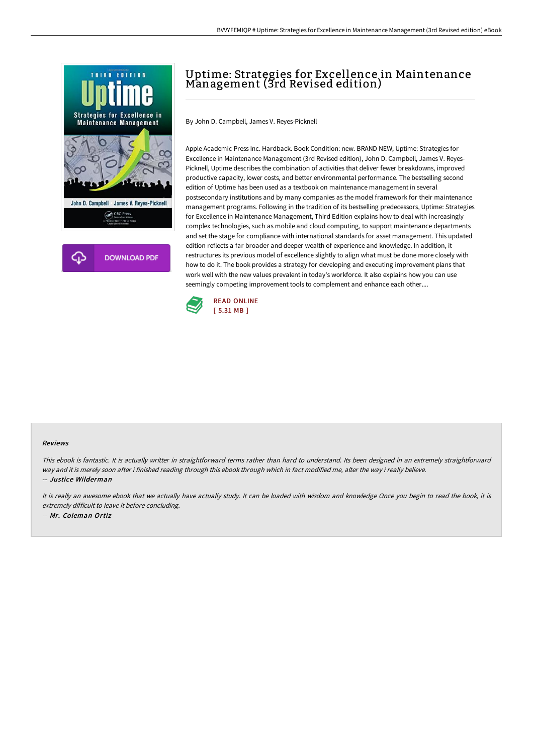



# Uptime: Strategies for Excellence in Maintenance Management (3rd Revised edition)

By John D. Campbell, James V. Reyes-Picknell

Apple Academic Press Inc. Hardback. Book Condition: new. BRAND NEW, Uptime: Strategies for Excellence in Maintenance Management (3rd Revised edition), John D. Campbell, James V. Reyes-Picknell, Uptime describes the combination of activities that deliver fewer breakdowns, improved productive capacity, lower costs, and better environmental performance. The bestselling second edition of Uptime has been used as a textbook on maintenance management in several postsecondary institutions and by many companies as the model framework for their maintenance management programs. Following in the tradition of its bestselling predecessors, Uptime: Strategies for Excellence in Maintenance Management, Third Edition explains how to deal with increasingly complex technologies, such as mobile and cloud computing, to support maintenance departments and set the stage for compliance with international standards for asset management. This updated edition reflects a far broader and deeper wealth of experience and knowledge. In addition, it restructures its previous model of excellence slightly to align what must be done more closely with how to do it. The book provides a strategy for developing and executing improvement plans that work well with the new values prevalent in today's workforce. It also explains how you can use seemingly competing improvement tools to complement and enhance each other....



#### Reviews

This ebook is fantastic. It is actually writter in straightforward terms rather than hard to understand. Its been designed in an extremely straightforward way and it is merely soon after i finished reading through this ebook through which in fact modified me, alter the way i really believe. -- Justice Wilderman

It is really an awesome ebook that we actually have actually study. It can be loaded with wisdom and knowledge Once you begin to read the book, it is extremely difficult to leave it before concluding. -- Mr. Coleman Ortiz